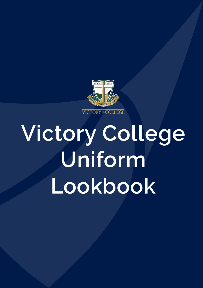

# **Victory College Uniform Lookbook**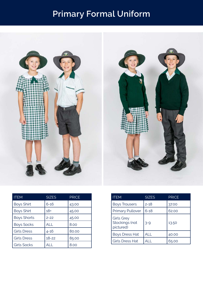## **Primary Formal Uniform**



| <b>ITEM</b>        | <b>SIZES</b> | <b>PRICE</b> |
|--------------------|--------------|--------------|
| <b>Boys Shirt</b>  | $6 - 16$     | 43.00        |
| <b>Boys Shirt</b>  | $18+$        | 45.00        |
| <b>Boys Shorts</b> | $2 - 22$     | 45.00        |
| <b>Boys Socks</b>  | ALL          | 8.00         |
| <b>Girls Dress</b> | $4 - 16$     | 80.00        |
| <b>Girls Dress</b> | $18 - 22$    | 85.00        |
| <b>Girls Socks</b> | ALL          | 8.00         |

| ITEM                                             | <b>SIZES</b> | <b>PRICE</b> |
|--------------------------------------------------|--------------|--------------|
| <b>Boys Trousers</b>                             | $2 - 18$     | 37.00        |
| <b>Primary Pullover</b>                          | $6 - 18$     | 62.00        |
| <b>Girls Grey</b><br>Stockings (not<br>pictured) | $3 - 9$      | 13.50        |
| <b>Boys Dress Hat</b>                            | ALL          | 40.00        |
| <b>Girls Dress Hat</b>                           |              | 65.00        |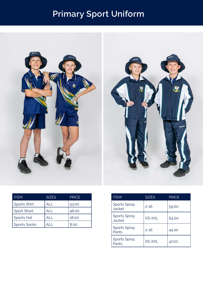# **Primary Sport Uniform**



| <b>ITEM</b>         | <b>SIZES</b> | <b>PRICE</b> |
|---------------------|--------------|--------------|
| <b>Sports Shirt</b> | AI I         | 53.00        |
| Sport Short         | AI I         | 46.00        |
| Sports Hat          | AL L         | 18.00        |
| <b>Sports Socks</b> | AI I         | 8.00         |

| <b>ITEM</b>                          | <b>SIZES</b>  | <b>PRICE</b> |
|--------------------------------------|---------------|--------------|
| <b>Sports Spray</b><br><b>Jacket</b> | 2-16          | 59.00        |
| <b>Sports Spray</b><br><b>Jacket</b> | <b>XS-XXL</b> | 64.00        |
| <b>Sports Spray</b><br>Pants         | 2-16          | 44.00        |
| <b>Sports Spray</b><br>Pants         | <b>XS-XXL</b> | 47.00        |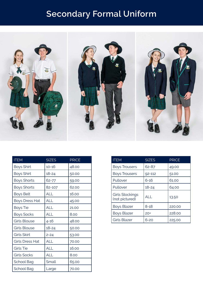### **Secondary Formal Uniform**



| <b>ITEM</b>            | <b>SIZES</b> | <b>PRICE</b> |
|------------------------|--------------|--------------|
| <b>Boys Shirt</b>      | $10 - 16$    | 48.00        |
| <b>Boys Shirt</b>      | $18 - 24$    | 50.00        |
| <b>Boys Shorts</b>     | 62-77        | 59.00        |
| <b>Boys Shorts</b>     | 82-107       | 62.00        |
| <b>Boys Belt</b>       | <b>ALL</b>   | 16.00        |
| <b>Boys Dress Hat</b>  | ALL          | 45.00        |
| <b>Boys Tie</b>        | ALL          | 21.00        |
| <b>Boys Socks</b>      | <b>ALL</b>   | 8.00         |
| <b>Girls Blouse</b>    | $4 - 16$     | 48.00        |
| <b>Girls Blouse</b>    | $18 - 24$    | 50.00        |
| Girls Skirt            | $2 - 24$     | 53.00        |
| <b>Girls Dress Hat</b> | <b>ALL</b>   | 70.00        |
| <b>Girls Tie</b>       | <b>ALL</b>   | 16.00        |
| <b>Girls Socks</b>     | <b>ALL</b>   | 8.00         |
| <b>School Bag</b>      | Small        | 65.00        |
| School Bag             | Large        | 70.00        |

| <b>ITEM</b>                              | <b>SIZES</b> | <b>PRICE</b> |
|------------------------------------------|--------------|--------------|
| <b>Boys Trousers</b>                     | 62-87        | 49.00        |
| <b>Boys Trousers</b>                     | $92 - 112$   | 51.00        |
| Pullover                                 | 6-16         | 61.00        |
| Pullover                                 | $18 - 24$    | 64.00        |
| <b>Girls Stockings</b><br>(not pictured) | <b>ALL</b>   | 13.50        |
| <b>Boys Blazer</b>                       | $8 - 18$     | 220.00       |
| <b>Boys Blazer</b>                       | $20+$        | 228.00       |
| <b>Girls Blazer</b>                      | 6-20         | 225.00       |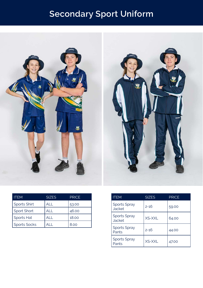# **Secondary Sport Uniform**



| <b>ITEM</b>         | <b>SIZES</b> | <b>PRICE</b> |
|---------------------|--------------|--------------|
| <b>Sports Shirt</b> | ALL          | 53.00        |
| Sport Short         | ALL          | 46.00        |
| Sports Hat          | ALL          | 18.00        |
| <b>Sports Socks</b> |              | 8.00         |

| <b>ITEM</b>                          | <b>SIZES</b> | <b>PRICE</b> |
|--------------------------------------|--------------|--------------|
| <b>Sports Spray</b><br><b>Jacket</b> | 2-16         | 59.00        |
| <b>Sports Spray</b><br><b>Jacket</b> | XS-XXL       | 64.00        |
| <b>Sports Spray</b><br>Pants         | 2-16         | 44.00        |
| <b>Sports Spray</b><br>Pants         | XS-XXL       | 47.00        |